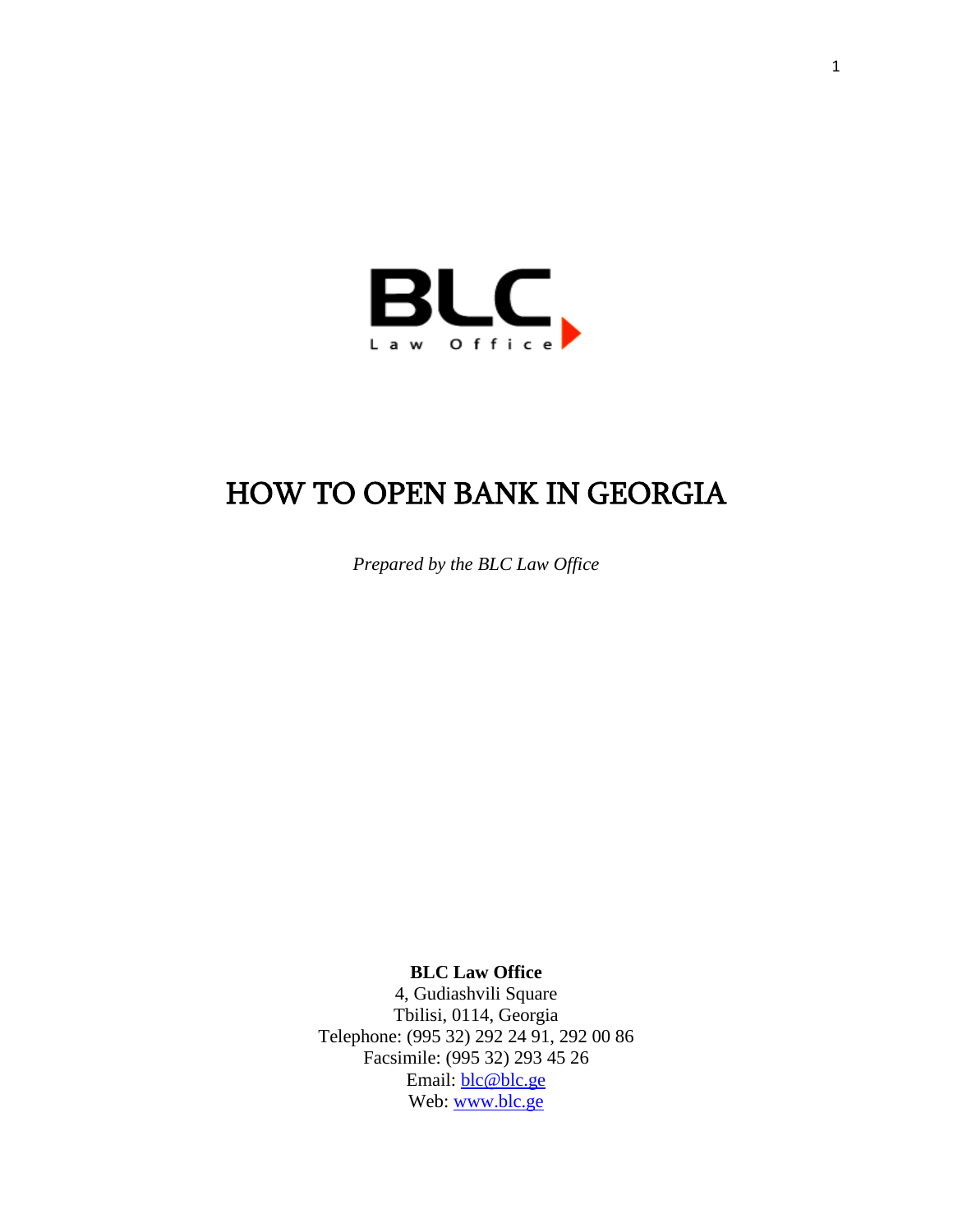

# HOW TO OPEN BANK IN GEORGIA

*Prepared by the BLC Law Office*

**BLC Law Office**

4, Gudiashvili Square Tbilisi, 0114, Georgia Telephone: (995 32) 292 24 91, 292 00 86 Facsimile: (995 32) 293 45 26 Email: [blc@blc.ge](mailto:blc@blc.ge) Web: [www.blc.ge](http://www.blc.ge/)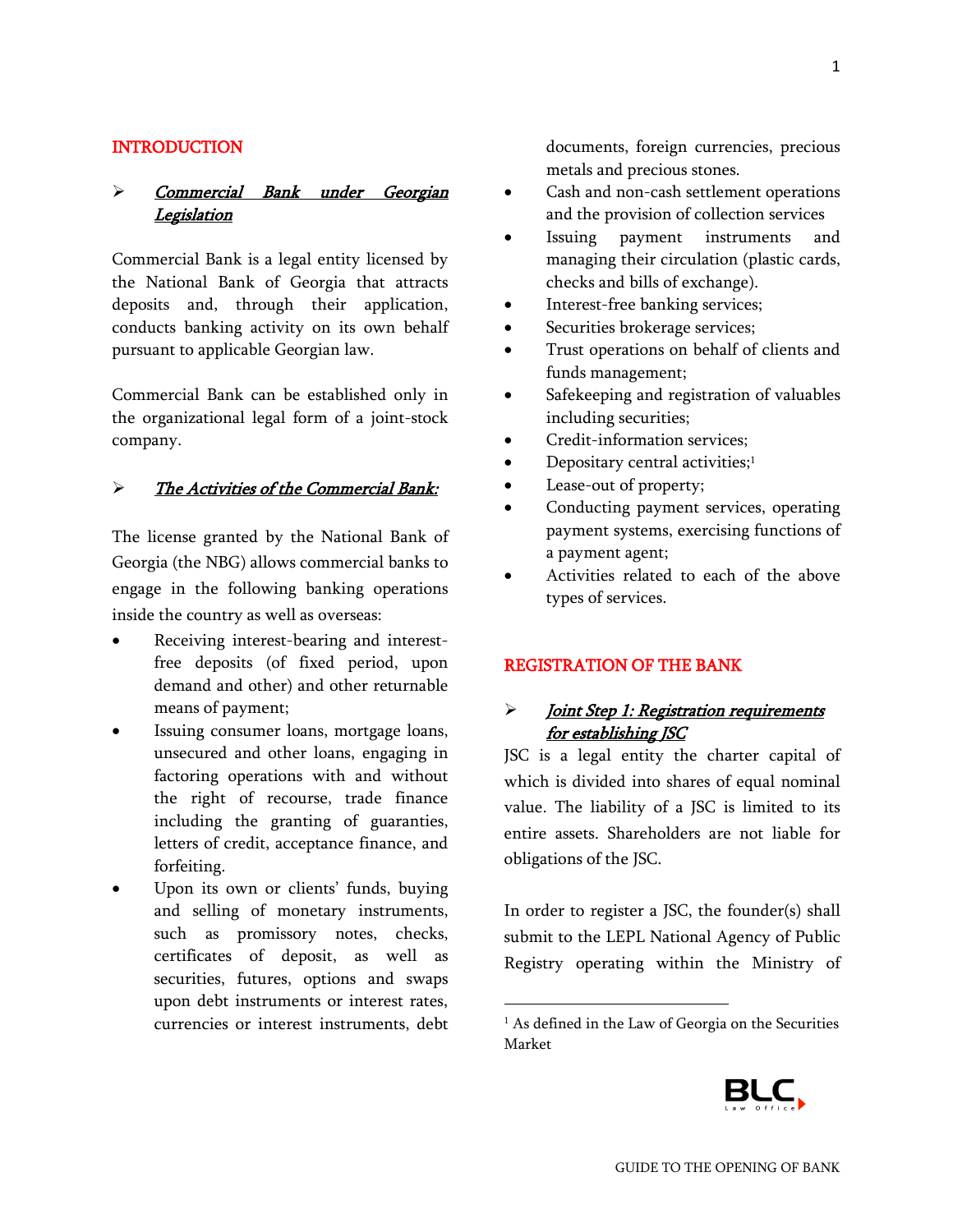#### INTRODUCTION

### Commercial Bank under Georgian Legislation

Commercial Bank is a legal entity licensed by the National Bank of Georgia that attracts deposits and, through their application, conducts banking activity on its own behalf pursuant to applicable Georgian law.

Commercial Bank can be established only in the organizational legal form of a joint-stock company.

#### > The Activities of the Commercial Bank:

The license granted by the National Bank of Georgia (the NBG) allows commercial banks to engage in the following banking operations inside the country as well as overseas:

- Receiving interest-bearing and interestfree deposits (of fixed period, upon demand and other) and other returnable means of payment;
- Issuing consumer loans, mortgage loans, unsecured and other loans, engaging in factoring operations with and without the right of recourse, trade finance including the granting of guaranties, letters of credit, acceptance finance, and forfeiting.
- Upon its own or clients' funds, buying and selling of monetary instruments, such as promissory notes, checks, certificates of deposit, as well as securities, futures, options and swaps upon debt instruments or interest rates, currencies or interest instruments, debt

documents, foreign currencies, precious metals and precious stones.

- Cash and non-cash settlement operations and the provision of collection services
- Issuing payment instruments and managing their circulation (plastic cards, checks and bills of exchange).
- Interest-free banking services;
- Securities brokerage services;
- Trust operations on behalf of clients and funds management;
- Safekeeping and registration of valuables including securities;
- Credit-information services;
- Depositary central activities;<sup>1</sup>
- Lease-out of property;
- Conducting payment services, operating payment systems, exercising functions of a payment agent;
- Activities related to each of the above types of services.

#### REGISTRATION OF THE BANK

# > *Joint Step 1: Registration requirements* for establishing JSC

JSC is a legal entity the charter capital of which is divided into shares of equal nominal value. The liability of a JSC is limited to its entire assets. Shareholders are not liable for obligations of the JSC.

In order to register a JSC, the founder(s) shall submit to the LEPL National Agency of Public Registry operating within the Ministry of

l



<sup>&</sup>lt;sup>1</sup> As defined in the Law of Georgia on the Securities Market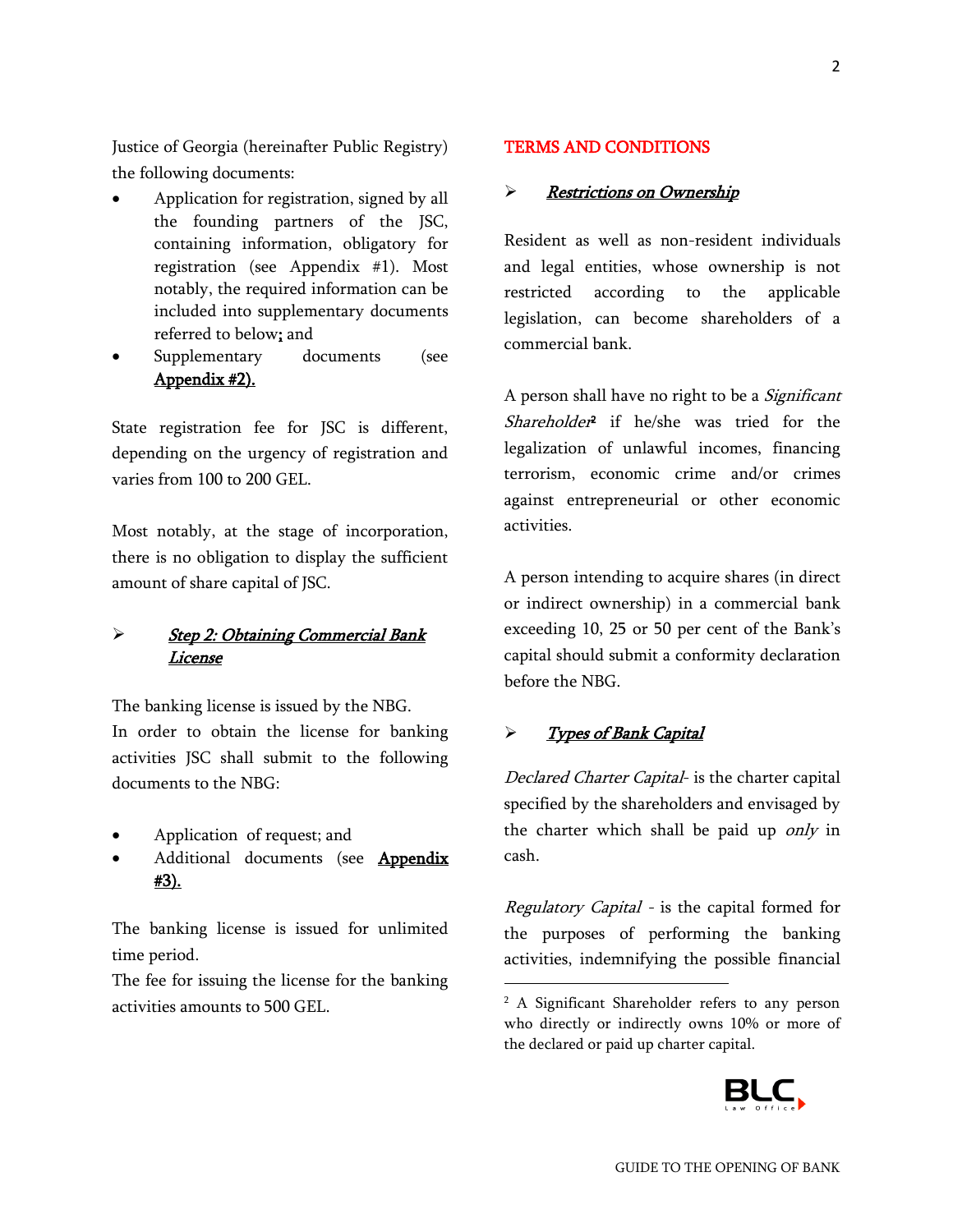Justice of Georgia (hereinafter Public Registry) the following documents:

- Application for registration, signed by all the founding partners of the JSC, containing information, obligatory for registration (see Appendix #1). Most notably, the required information can be included into supplementary documents referred to below; and
- Supplementary documents (see Appendix #2).

State registration fee for JSC is different, depending on the urgency of registration and varies from 100 to 200 GEL.

Most notably, at the stage of incorporation, there is no obligation to display the sufficient amount of share capital of JSC.

# Step 2: Obtaining Commercial Bank License

The banking license is issued by the NBG. In order to obtain the license for banking activities JSC shall submit to the following documents to the NBG:

- Application of request; and
- Additional documents (see Appendix #3).

The banking license is issued for unlimited time period.

The fee for issuing the license for the banking activities amounts to 500 GEL.

#### TERMS AND CONDITIONS

#### > Restrictions on Ownership

Resident as well as non-resident individuals and legal entities, whose ownership is not restricted according to the applicable legislation, can become shareholders of a commercial bank.

A person shall have no right to be a *Significant* Shareholder<sup>2</sup> if he/she was tried for the legalization of unlawful incomes, financing terrorism, economic crime and/or crimes against entrepreneurial or other economic activities.

A person intending to acquire shares (in direct or indirect ownership) in a commercial bank exceeding 10, 25 or 50 per cent of the Bank's capital should submit a conformity declaration before the NBG.

#### > Types of Bank Capital

 $\overline{a}$ 

Declared Charter Capital- is the charter capital specified by the shareholders and envisaged by the charter which shall be paid up only in cash.

Regulatory Capital - is the capital formed for the purposes of performing the banking activities, indemnifying the possible financial

<sup>&</sup>lt;sup>2</sup> A Significant Shareholder refers to any person who directly or indirectly owns 10% or more of the declared or paid up charter capital.

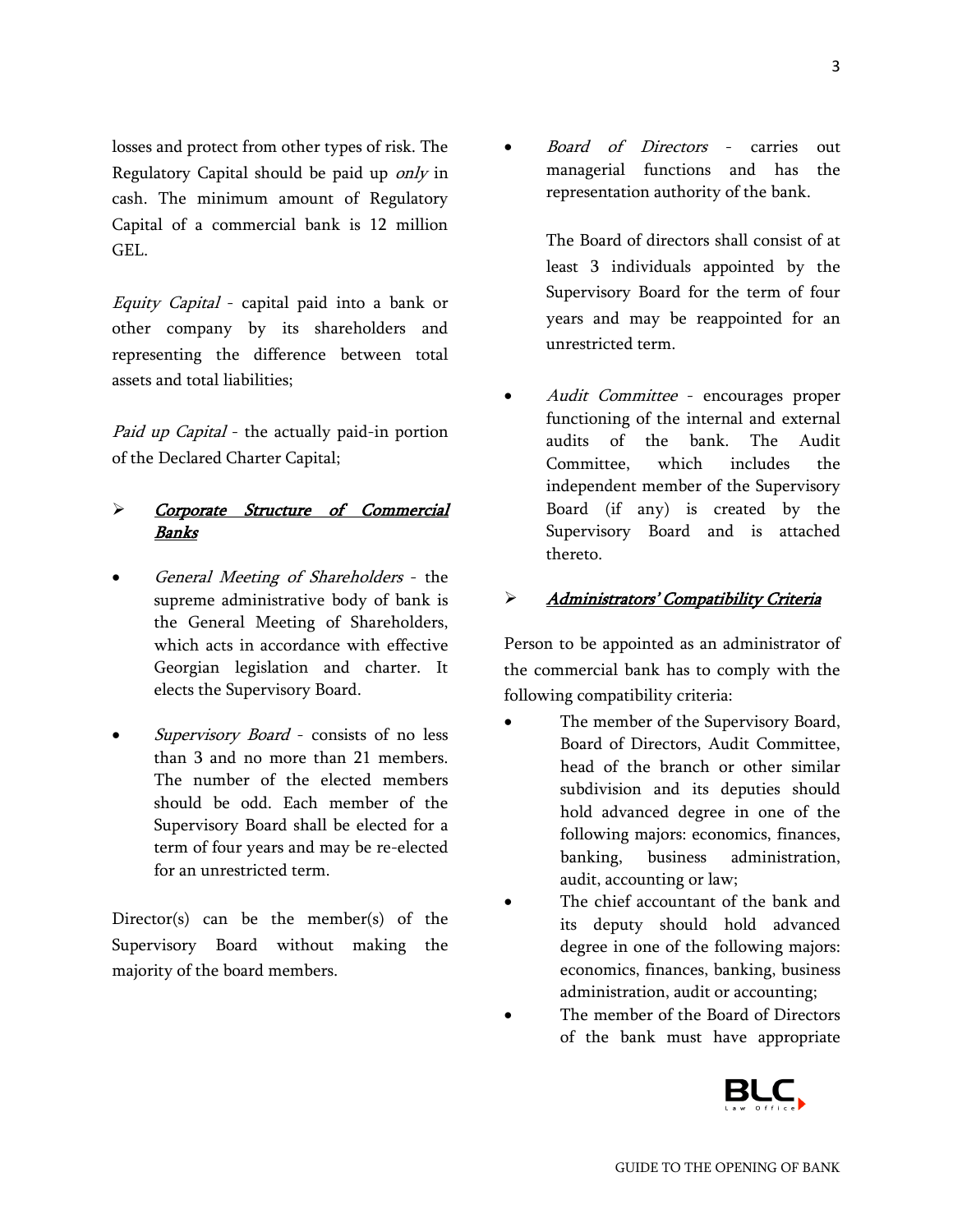losses and protect from other types of risk. The Regulatory Capital should be paid up only in cash. The minimum amount of Regulatory Capital of a commercial bank is 12 million GEL.

Equity Capital - capital paid into a bank or other company by its shareholders and representing the difference between total assets and total liabilities;

Paid up Capital - the actually paid-in portion of the Declared Charter Capital;

### > Corporate Structure of Commercial Banks

- General Meeting of Shareholders the supreme administrative body of bank is the General Meeting of Shareholders, which acts in accordance with effective Georgian legislation and charter. It elects the Supervisory Board.
- Supervisory Board consists of no less than 3 and no more than 21 members. The number of the elected members should be odd. Each member of the Supervisory Board shall be elected for a term of four years and may be re-elected for an unrestricted term.

Director(s) can be the member(s) of the Supervisory Board without making the majority of the board members.

 Board of Directors - carries out managerial functions and has the representation authority of the bank.

The Board of directors shall consist of at least 3 individuals appointed by the Supervisory Board for the term of four years and may be reappointed for an unrestricted term.

 Audit Committee - encourages proper functioning of the internal and external audits of the bank. The Audit Committee, which includes the independent member of the Supervisory Board (if any) is created by the Supervisory Board and is attached thereto.

#### > Administrators' Compatibility Criteria

Person to be appointed as an administrator of the commercial bank has to comply with the following compatibility criteria:

- The member of the Supervisory Board, Board of Directors, Audit Committee, head of the branch or other similar subdivision and its deputies should hold advanced degree in one of the following majors: economics, finances, banking, business administration, audit, accounting or law;
- The chief accountant of the bank and its deputy should hold advanced degree in one of the following majors: economics, finances, banking, business administration, audit or accounting;
- The member of the Board of Directors of the bank must have appropriate

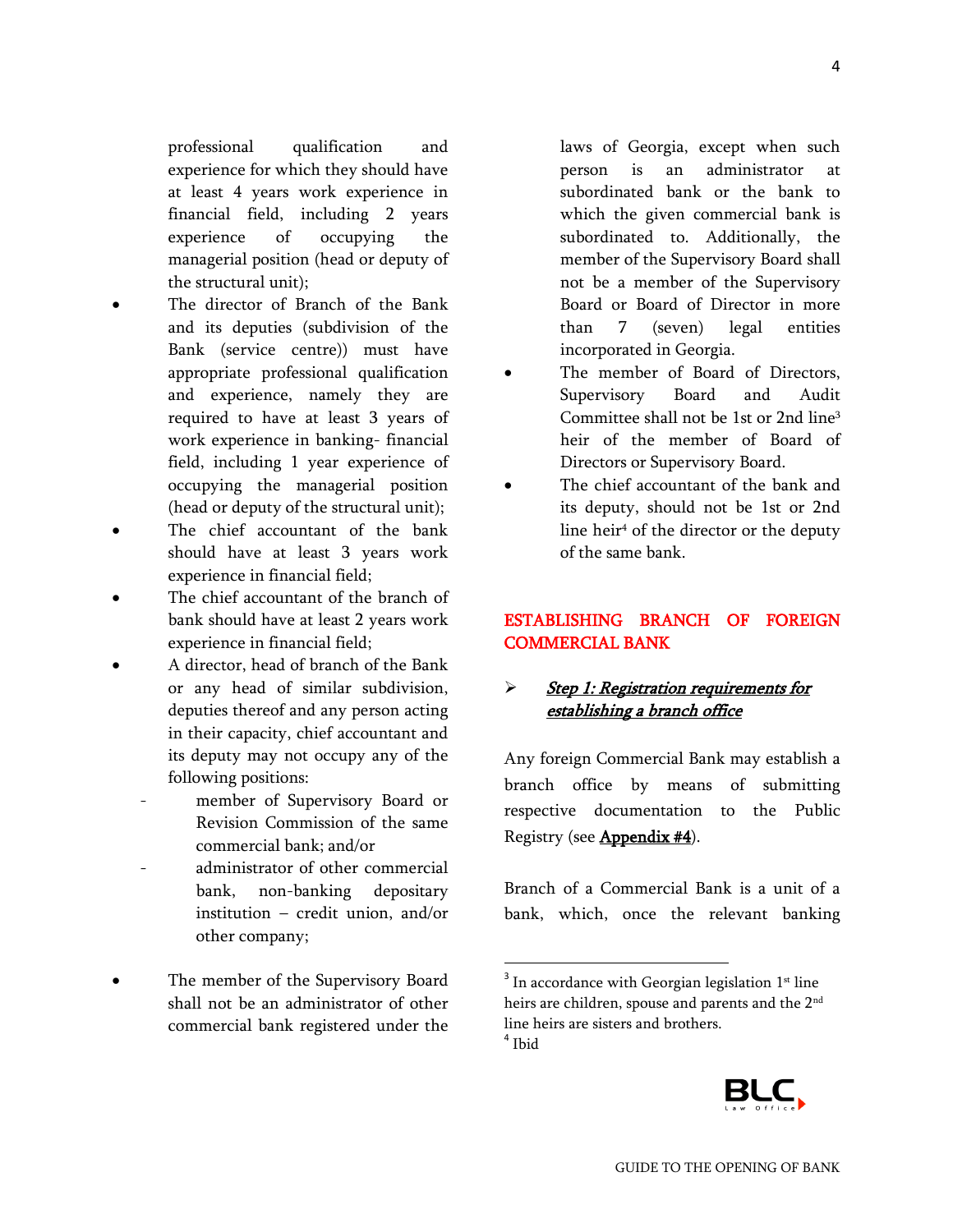professional qualification and experience for which they should have at least 4 years work experience in financial field, including 2 years experience of occupying the managerial position (head or deputy of the structural unit);

- The director of Branch of the Bank and its deputies (subdivision of the Bank (service centre)) must have appropriate professional qualification and experience, namely they are required to have at least 3 years of work experience in banking- financial field, including 1 year experience of occupying the managerial position (head or deputy of the structural unit);
- The chief accountant of the bank should have at least 3 years work experience in financial field;
- The chief accountant of the branch of bank should have at least 2 years work experience in financial field;
- A director, head of branch of the Bank or any head of similar subdivision, deputies thereof and any person acting in their capacity, chief accountant and its deputy may not occupy any of the following positions:
	- member of Supervisory Board or Revision Commission of the same commercial bank; and/or
	- administrator of other commercial bank, non-banking depositary institution – credit union, and/or other company;
- The member of the Supervisory Board shall not be an administrator of other commercial bank registered under the

laws of Georgia, except when such person is an administrator at subordinated bank or the bank to which the given commercial bank is subordinated to. Additionally, the member of the Supervisory Board shall not be a member of the Supervisory Board or Board of Director in more than 7 (seven) legal entities incorporated in Georgia.

- The member of Board of Directors, Supervisory Board and Audit Committee shall not be 1st or 2nd line 3 heir of the member of Board of Directors or Supervisory Board.
- The chief accountant of the bank and its deputy, should not be 1st or 2nd line heir<sup>4</sup> of the director or the deputy of the same bank.

# ESTABLISHING BRANCH OF FOREIGN COMMERCIAL BANK

# Step 1: Registration requirements for establishing a branch office

Any foreign Commercial Bank may establish a branch office by means of submitting respective documentation to the Public Registry (see **Appendix #4**).

Branch of a Commercial Bank is a unit of a bank, which, once the relevant banking

 $\overline{\phantom{a}}$ 



 $3$  In accordance with Georgian legislation  $1<sup>st</sup>$  line heirs are children, spouse and parents and the 2<sup>nd</sup> line heirs are sisters and brothers. 4 Ibid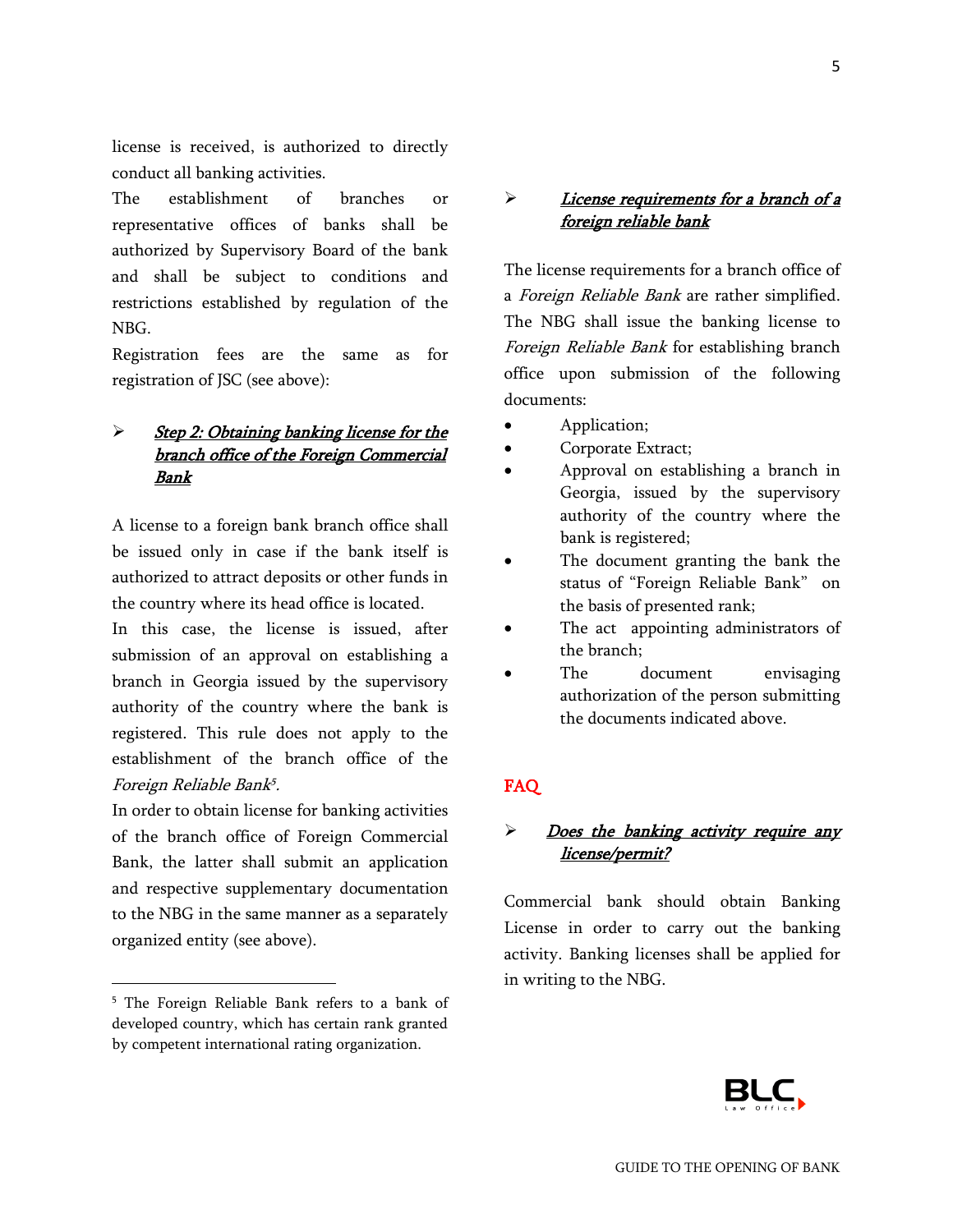license is received, is authorized to directly conduct all banking activities.

The establishment of branches or representative offices of banks shall be authorized by Supervisory Board of the bank and shall be subject to conditions and restrictions established by regulation of the NBG.

Registration fees are the same as for registration of JSC (see above):

# Step 2: Obtaining banking license for the branch office of the Foreign Commercial Bank

A license to a foreign bank branch office shall be issued only in case if the bank itself is authorized to attract deposits or other funds in the country where its head office is located.

In this case, the license is issued, after submission of an approval on establishing a branch in Georgia issued by the supervisory authority of the country where the bank is registered. This rule does not apply to the establishment of the branch office of the Foreign Reliable Bank 5 .

In order to obtain license for banking activities of the branch office of Foreign Commercial Bank, the latter shall submit an application and respective supplementary documentation to the NBG in the same manner as a separately organized entity (see above).

 $\overline{a}$ 

### $\triangleright$  License requirements for a branch of a foreign reliable bank

The license requirements for a branch office of a Foreign Reliable Bank are rather simplified. The NBG shall issue the banking license to Foreign Reliable Bank for establishing branch office upon submission of the following documents:

- Application;
- Corporate Extract;
- Approval on establishing a branch in Georgia, issued by the supervisory authority of the country where the bank is registered;
- The document granting the bank the status of "Foreign Reliable Bank" on the basis of presented rank;
- The act appointing administrators of the branch;
- The document envisaging authorization of the person submitting the documents indicated above.

### FAQ

# $\triangleright$  Does the banking activity require any license/permit?

Commercial bank should obtain Banking License in order to carry out the banking activity. Banking licenses shall be applied for in writing to the NBG.



<sup>5</sup> The Foreign Reliable Bank refers to a bank of developed country, which has certain rank granted by competent international rating organization.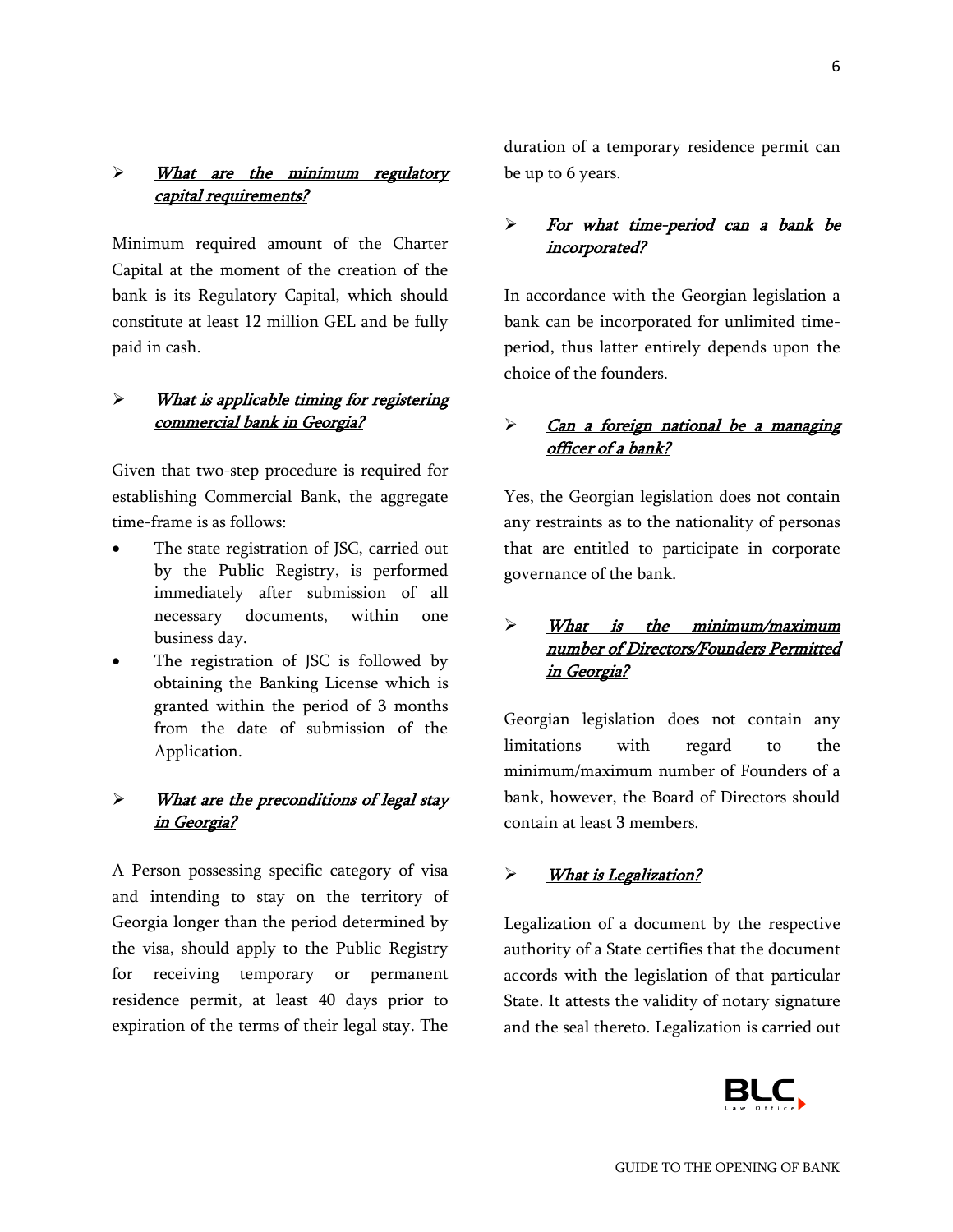# > What are the minimum regulatory capital requirements?

Minimum required amount of the Charter Capital at the moment of the creation of the bank is its Regulatory Capital, which should constitute at least 12 million GEL and be fully paid in cash.

### $\triangleright$  What is applicable timing for registering commercial bank in Georgia?

Given that two-step procedure is required for establishing Commercial Bank, the aggregate time-frame is as follows:

- The state registration of JSC, carried out by the Public Registry, is performed immediately after submission of all necessary documents, within one business day.
- The registration of JSC is followed by obtaining the Banking License which is granted within the period of 3 months from the date of submission of the Application.

### $\triangleright$  What are the preconditions of legal stay in Georgia?

A Person possessing specific category of visa and intending to stay on the territory of Georgia longer than the period determined by the visa, should apply to the Public Registry for receiving temporary or permanent residence permit, at least 40 days prior to expiration of the terms of their legal stay. The

duration of a temporary residence permit can be up to 6 years.

# $\triangleright$  For what time-period can a bank be incorporated?

In accordance with the Georgian legislation a bank can be incorporated for unlimited timeperiod, thus latter entirely depends upon the choice of the founders.

# > Can a foreign national be a managing officer of a bank?

Yes, the Georgian legislation does not contain any restraints as to the nationality of personas that are entitled to participate in corporate governance of the bank.

# What is the minimum/maximum number of Directors/Founders Permitted in Georgia?

Georgian legislation does not contain any limitations with regard to the minimum/maximum number of Founders of a bank, however, the Board of Directors should contain at least 3 members.

# > What is Legalization?

Legalization of a document by the respective authority of a State certifies that the document accords with the legislation of that particular State. It attests the validity of notary signature and the seal thereto. Legalization is carried out

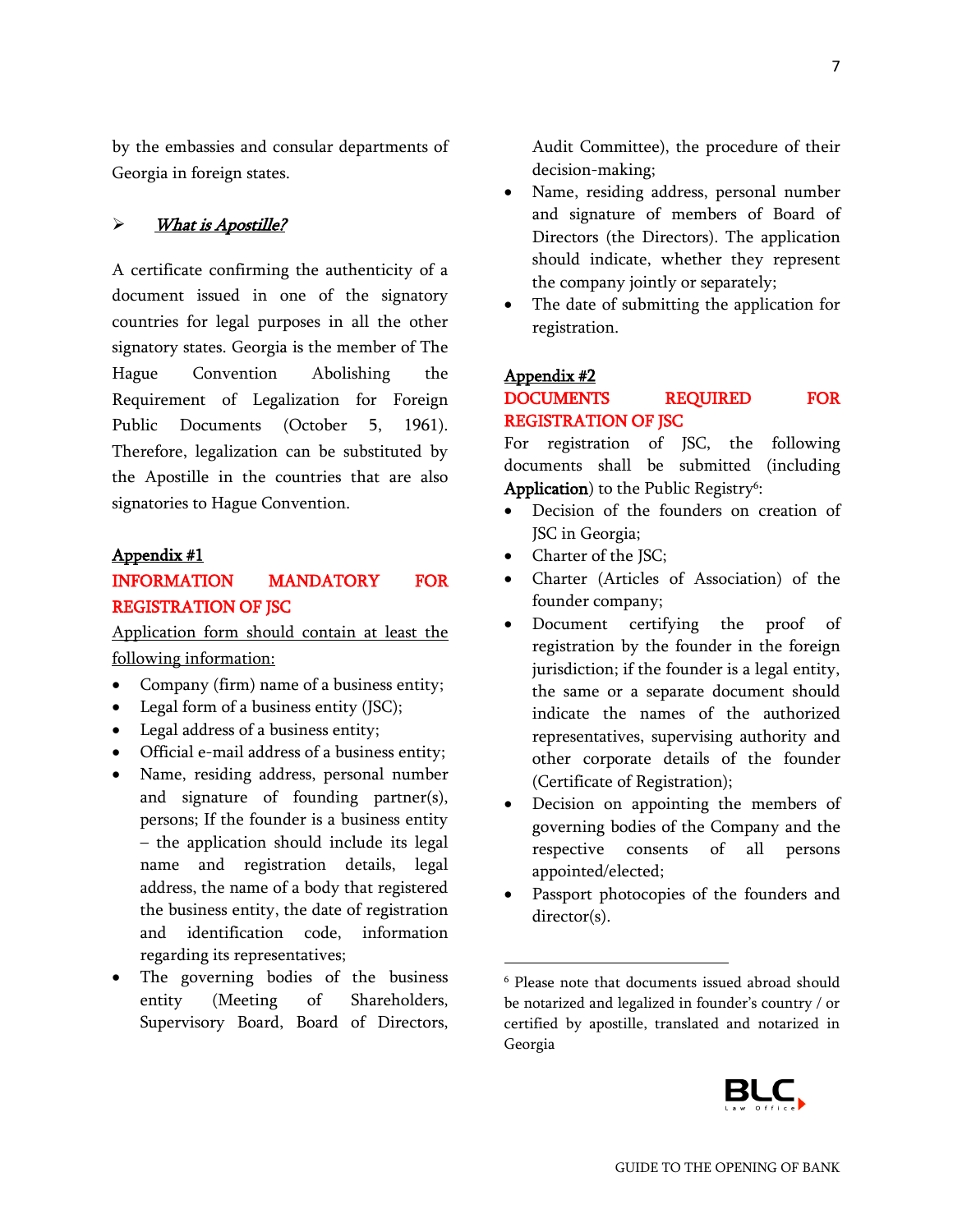by the embassies and consular departments of Georgia in foreign states.

#### > What is Apostille?

A certificate confirming the authenticity of a document issued in one of the signatory countries for legal purposes in all the other signatory states. Georgia is the member of The Hague Convention Abolishing the Requirement of Legalization for Foreign Public Documents (October 5, 1961). Therefore, legalization can be substituted by the Apostille in the countries that are also signatories to Hague Convention.

#### Appendix #1

# INFORMATION MANDATORY FOR REGISTRATION OF JSC

Application form should contain at least the following information:

- Company (firm) name of a business entity;
- Legal form of a business entity (JSC);
- Legal address of a business entity;
- Official e-mail address of a business entity;
- Name, residing address, personal number and signature of founding partner(s), persons; If the founder is a business entity – the application should include its legal name and registration details, legal address, the name of a body that registered the business entity, the date of registration and identification code, information regarding its representatives;
- The governing bodies of the business entity (Meeting of Shareholders, Supervisory Board, Board of Directors,

Audit Committee), the procedure of their decision-making;

- Name, residing address, personal number and signature of members of Board of Directors (the Directors). The application should indicate, whether they represent the company jointly or separately;
- The date of submitting the application for registration.

#### Appendix #2

 $\overline{\phantom{a}}$ 

### DOCUMENTS REQUIRED FOR REGISTRATION OF ISC

For registration of JSC, the following documents shall be submitted (including Application) to the Public Registry<sup>6</sup>:

- Decision of the founders on creation of JSC in Georgia;
- Charter of the JSC;
- Charter (Articles of Association) of the founder company;
- Document certifying the proof of registration by the founder in the foreign jurisdiction; if the founder is a legal entity, the same or a separate document should indicate the names of the authorized representatives, supervising authority and other corporate details of the founder (Certificate of Registration);
- Decision on appointing the members of governing bodies of the Company and the respective consents of all persons appointed/elected;
- Passport photocopies of the founders and director(s).

<sup>6</sup> Please note that documents issued abroad should be notarized and legalized in founder's country / or certified by apostille, translated and notarized in Georgia

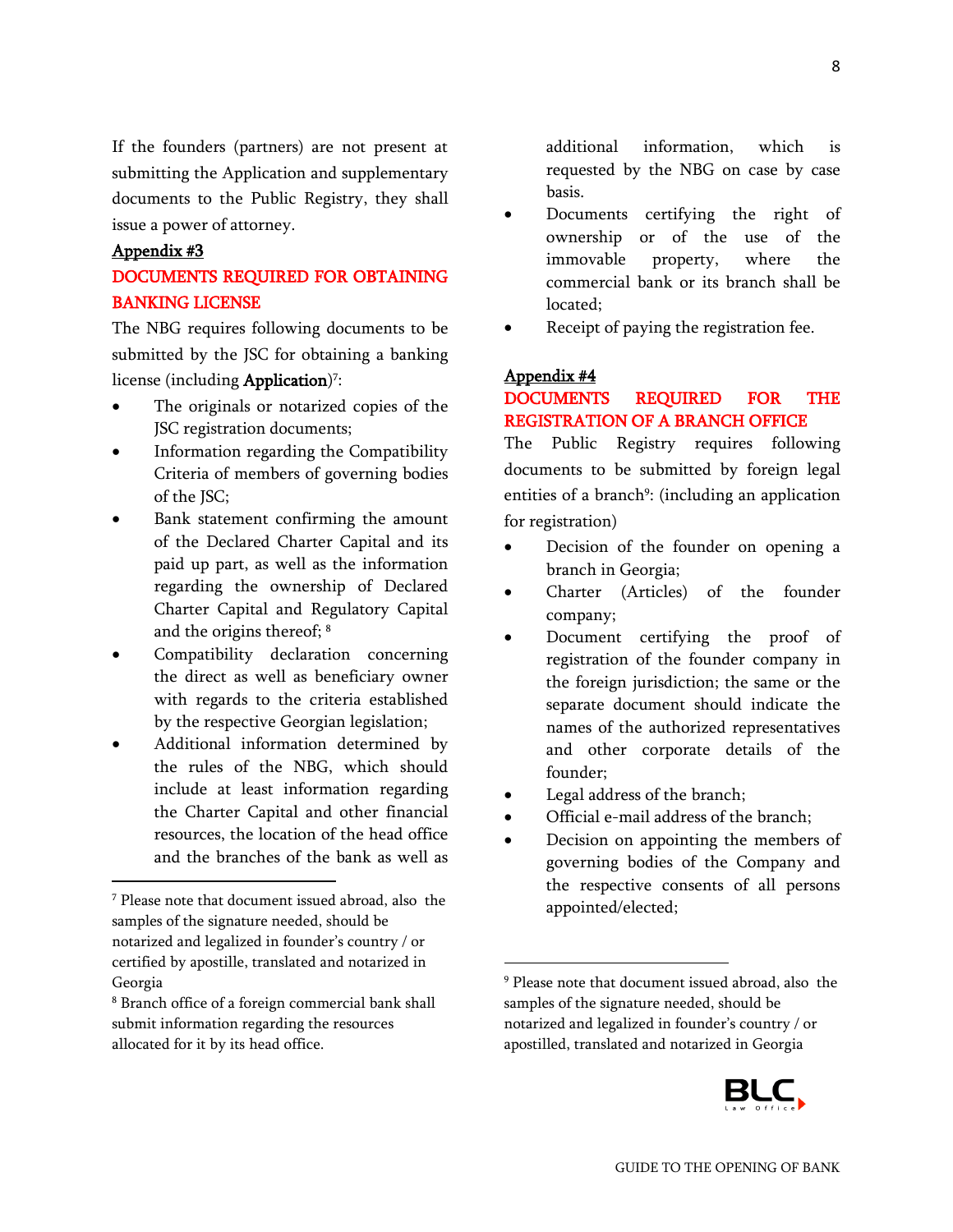If the founders (partners) are not present at submitting the Application and supplementary documents to the Public Registry, they shall issue a power of attorney.

#### Appendix #3

l

# DOCUMENTS REQUIRED FOR OBTAINING BANKING LICENSE

The NBG requires following documents to be submitted by the JSC for obtaining a banking license (including **Application**)<sup>7</sup>:

- The originals or notarized copies of the JSC registration documents;
- Information regarding the Compatibility Criteria of members of governing bodies of the JSC;
- Bank statement confirming the amount of the Declared Charter Capital and its paid up part, as well as the information regarding the ownership of Declared Charter Capital and Regulatory Capital and the origins thereof; <sup>8</sup>
- Compatibility declaration concerning the direct as well as beneficiary owner with regards to the criteria established by the respective Georgian legislation;
- Additional information determined by the rules of the NBG, which should include at least information regarding the Charter Capital and other financial resources, the location of the head office and the branches of the bank as well as

additional information, which is requested by the NBG on case by case basis.

- Documents certifying the right of ownership or of the use of the immovable property, where the commercial bank or its branch shall be located;
- Receipt of paying the registration fee.

#### Appendix #4

### DOCUMENTS REQUIRED FOR THE REGISTRATION OF A BRANCH OFFICE

The Public Registry requires following documents to be submitted by foreign legal entities of a branch<sup>9</sup>: (including an application for registration)

- Decision of the founder on opening a branch in Georgia;
- Charter (Articles) of the founder company;
- Document certifying the proof of registration of the founder company in the foreign jurisdiction; the same or the separate document should indicate the names of the authorized representatives and other corporate details of the founder;
- Legal address of the branch;

 $\overline{\phantom{a}}$ 

- Official e-mail address of the branch;
- Decision on appointing the members of governing bodies of the Company and the respective consents of all persons appointed/elected;

<sup>9</sup> Please note that document issued abroad, also the samples of the signature needed, should be notarized and legalized in founder's country / or apostilled, translated and notarized in Georgia



<sup>7</sup> Please note that document issued abroad, also the samples of the signature needed, should be notarized and legalized in founder's country / or certified by apostille, translated and notarized in Georgia

<sup>8</sup> Branch office of a foreign commercial bank shall submit information regarding the resources allocated for it by its head office.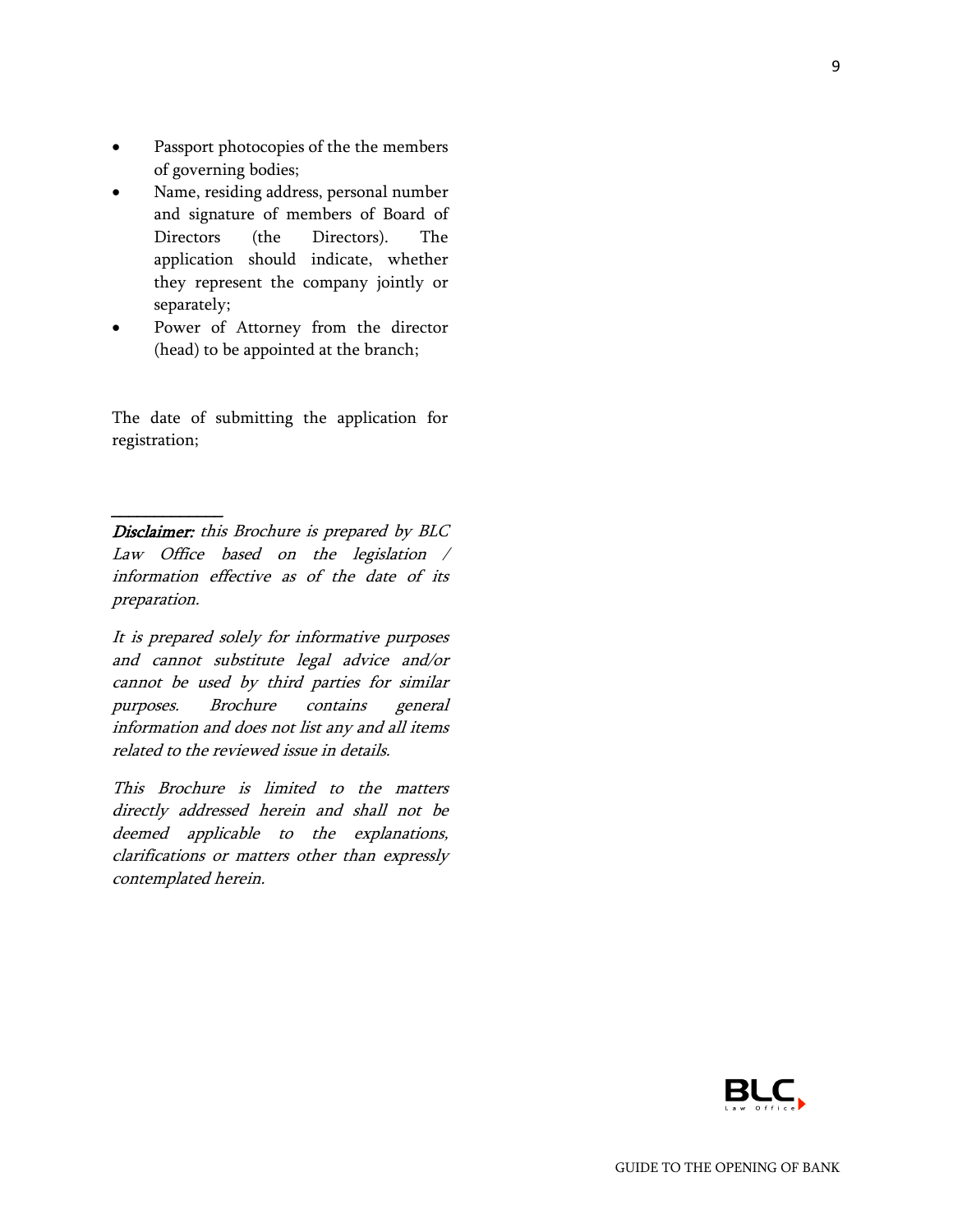- Passport photocopies of the the members of governing bodies;
- Name, residing address, personal number and signature of members of Board of Directors (the Directors). The application should indicate, whether they represent the company jointly or separately;
- Power of Attorney from the director (head) to be appointed at the branch;

The date of submitting the application for registration;

Disclaimer: this Brochure is prepared by BLC Law Office based on the legislation / information effective as of the date of its preparation.

 $\overline{\phantom{a}}$ 

It is prepared solely for informative purposes and cannot substitute legal advice and/or cannot be used by third parties for similar purposes. Brochure contains general information and does not list any and all items related to the reviewed issue in details.

This Brochure is limited to the matters directly addressed herein and shall not be deemed applicable to the explanations, clarifications or matters other than expressly contemplated herein.

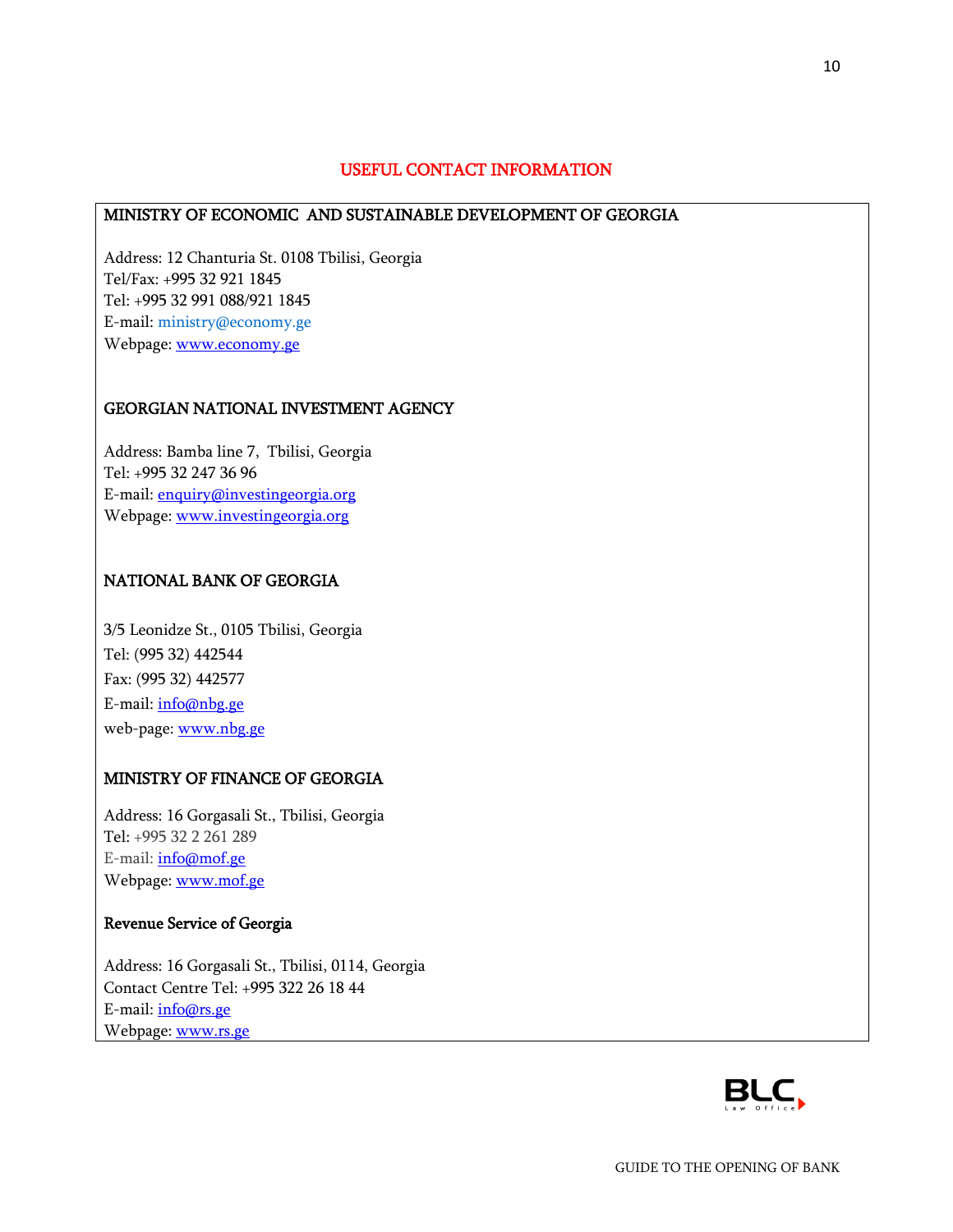### USEFUL CONTACT INFORMATION

### MINISTRY OF ECONOMIC AND SUSTAINABLE DEVELOPMENT OF GEORGIA

Address: 12 Chanturia St. 0108 Tbilisi, Georgia Tel/Fax: +995 32 921 1845 Tel: +995 32 991 088/921 1845 E-mail: [ministry@economy.ge](mailto:ministry@economy.ge) Webpage: [www.economy.ge](http://www.economy.ge/)

#### GEORGIAN NATIONAL INVESTMENT AGENCY

Address: Bamba line 7, Tbilisi, Georgia Tel: +995 32 247 36 96 E-mail: [enquiry@investingeorgia.org](mailto:info@investingeorgia.org) Webpage: [www.investingeorgia.org](http://www.investingeorgia.org/)

#### NATIONAL BANK OF GEORGIA

3/5 Leonidze St., 0105 Tbilisi, Georgia Tel: (995 32) 442544 Fax: (995 32) 442577 E-mail: [info@nbg.ge](mailto:info@nbg.gov.ge) web-page: [www.nbg.ge](http://www.nbg.ge/)

#### MINISTRY OF FINANCE OF GEORGIA

Address: 16 Gorgasali St., Tbilisi, Georgia Tel: +995 32 2 261 289 E-mail: [info@mof.ge](mailto:info@mof.ge) Webpage: [www.mof.ge](http://www.mof.ge/)

### Revenue Service of Georgia

Address: 16 Gorgasali St., Tbilisi, 0114, Georgia Contact Centre Tel: +995 322 26 18 44 E-mail: [info@rs.ge](mailto:info@rs.ge) Webpage: [www.rs.ge](http://www.rs.ge/)